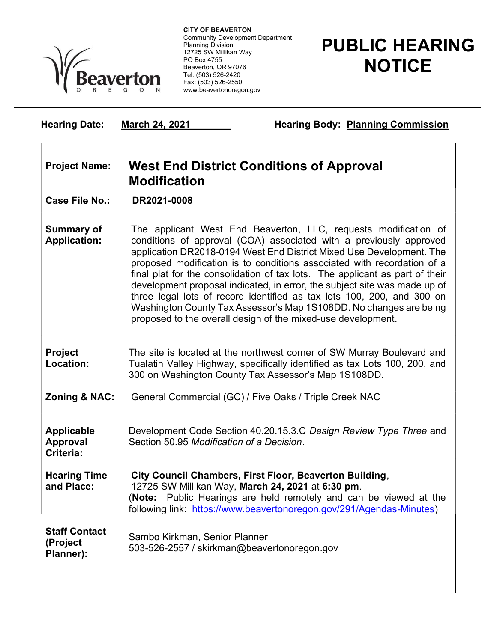

 Community Development Department CITY OF BEAVERTON Planning Division 12725 SW Millikan Way PO Box 4755 Beaverton, OR 97076 Tel: (503) 526-2420 Fax: (503) 526-2550 www.beavertonoregon.gov

## PUBLIC HEARING **NOTICE**

Hearing Date: March 24, 2021 Hearing Body: Planning Commission

## Project Name: West End District Conditions of Approval Modification

Case File No.: DR2021-0008

Criteria:

Summary of Application: The applicant West End Beaverton, LLC, requests modification of conditions of approval (COA) associated with a previously approved application DR2018-0194 West End District Mixed Use Development. The proposed modification is to conditions associated with recordation of a final plat for the consolidation of tax lots. The applicant as part of their development proposal indicated, in error, the subject site was made up of three legal lots of record identified as tax lots 100, 200, and 300 on Washington County Tax Assessor's Map 1S108DD. No changes are being proposed to the overall design of the mixed-use development.

## Project Location: The site is located at the northwest corner of SW Murray Boulevard and Tualatin Valley Highway, specifically identified as tax Lots 100, 200, and 300 on Washington County Tax Assessor's Map 1S108DD.

**Zoning & NAC:** General Commercial (GC) / Five Oaks / Triple Creek NAC

Applicable Approval Development Code Section 40.20.15.3.C Design Review Type Three and Section 50.95 Modification of a Decision.

Hearing Time and Place: City Council Chambers, First Floor, Beaverton Building, 12725 SW Millikan Way, March 24, 2021 at 6:30 pm. (Note: Public Hearings are held remotely and can be viewed at the following link: https://www.beavertonoregon.gov/291/Agendas-Minutes)

Staff Contact (Project Planner): Sambo Kirkman, Senior Planner 503-526-2557 / skirkman@beavertonoregon.gov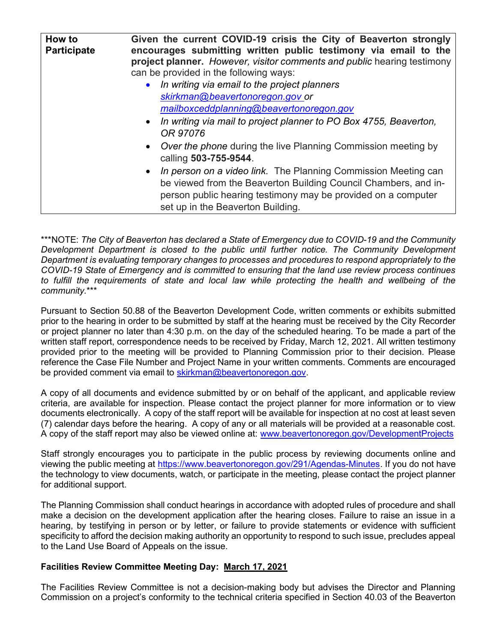| How to<br><b>Participate</b> | Given the current COVID-19 crisis the City of Beaverton strongly<br>encourages submitting written public testimony via email to the<br>project planner. However, visitor comments and public hearing testimony<br>can be provided in the following ways:<br>• In writing via email to the project planners<br>skirkman@beavertonoregon.gov or<br>mailboxceddplanning@beavertonoregon.gov<br>• In writing via mail to project planner to PO Box 4755, Beaverton,<br>OR 97076<br>• Over the phone during the live Planning Commission meeting by<br>calling 503-755-9544.<br>• In person on a video link. The Planning Commission Meeting can<br>be viewed from the Beaverton Building Council Chambers, and in- |
|------------------------------|----------------------------------------------------------------------------------------------------------------------------------------------------------------------------------------------------------------------------------------------------------------------------------------------------------------------------------------------------------------------------------------------------------------------------------------------------------------------------------------------------------------------------------------------------------------------------------------------------------------------------------------------------------------------------------------------------------------|
|                              | person public hearing testimony may be provided on a computer<br>set up in the Beaverton Building.                                                                                                                                                                                                                                                                                                                                                                                                                                                                                                                                                                                                             |

\*\*\*NOTE: The City of Beaverton has declared a State of Emergency due to COVID-19 and the Community Development Department is closed to the public until further notice. The Community Development Department is evaluating temporary changes to processes and procedures to respond appropriately to the COVID-19 State of Emergency and is committed to ensuring that the land use review process continues to fulfill the requirements of state and local law while protecting the health and wellbeing of the community.\*\*\*

Pursuant to Section 50.88 of the Beaverton Development Code, written comments or exhibits submitted prior to the hearing in order to be submitted by staff at the hearing must be received by the City Recorder or project planner no later than 4:30 p.m. on the day of the scheduled hearing. To be made a part of the written staff report, correspondence needs to be received by Friday, March 12, 2021. All written testimony provided prior to the meeting will be provided to Planning Commission prior to their decision. Please reference the Case File Number and Project Name in your written comments. Comments are encouraged be provided comment via email to skirkman@beavertonoregon.gov.

A copy of all documents and evidence submitted by or on behalf of the applicant, and applicable review criteria, are available for inspection. Please contact the project planner for more information or to view documents electronically. A copy of the staff report will be available for inspection at no cost at least seven (7) calendar days before the hearing. A copy of any or all materials will be provided at a reasonable cost. A copy of the staff report may also be viewed online at: www.beavertonoregon.gov/DevelopmentProjects

Staff strongly encourages you to participate in the public process by reviewing documents online and viewing the public meeting at https://www.beavertonoregon.gov/291/Agendas-Minutes. If you do not have the technology to view documents, watch, or participate in the meeting, please contact the project planner for additional support.

The Planning Commission shall conduct hearings in accordance with adopted rules of procedure and shall make a decision on the development application after the hearing closes. Failure to raise an issue in a hearing, by testifying in person or by letter, or failure to provide statements or evidence with sufficient specificity to afford the decision making authority an opportunity to respond to such issue, precludes appeal to the Land Use Board of Appeals on the issue.

## Facilities Review Committee Meeting Day: March 17, 2021

The Facilities Review Committee is not a decision-making body but advises the Director and Planning Commission on a project's conformity to the technical criteria specified in Section 40.03 of the Beaverton